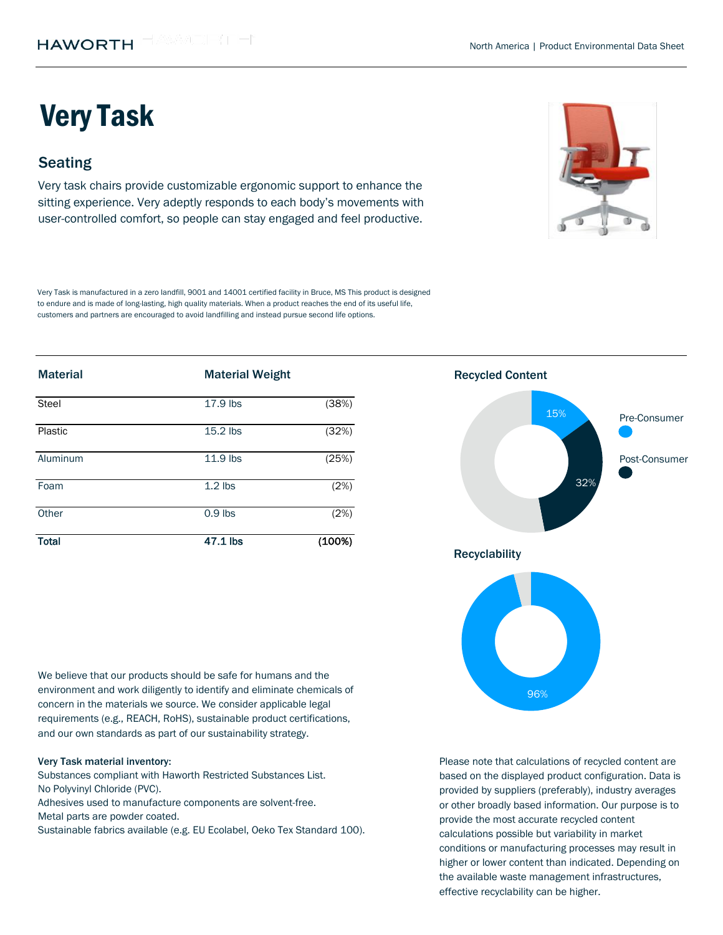# Very Task

## **Seating**

Very task chairs provide customizable ergonomic support to enhance the sitting experience. Very adeptly responds to each body's movements with user-controlled comfort, so people can stay engaged and feel productive.

Very Task is manufactured in a zero landfill, 9001 and 14001 certified facility in Bruce, MS This product is designed to endure and is made of long-lasting, high quality materials. When a product reaches the end of its useful life, customers and partners are encouraged to avoid landfilling and instead pursue second life options.

| <b>Material</b> | <b>Material Weight</b> |        | <b>Recycled Content</b> |               |
|-----------------|------------------------|--------|-------------------------|---------------|
| Steel           | 17.9 lbs               | (38%)  | 15%                     | Pre-Consumer  |
| Plastic         | $15.2$ lbs             | (32%)  |                         |               |
| Aluminum        | 11.9 lbs               | (25%)  |                         | Post-Consumer |
| Foam            | $1.2$ lbs              | (2%)   |                         | 32%           |
| Other           | $0.9$ lbs              | (2%)   |                         |               |
| <b>Total</b>    | 47.1 lbs               | (100%) |                         |               |

We believe that our products should be safe for humans and the environment and work diligently to identify and eliminate chemicals of concern in the materials we source. We consider applicable legal requirements (e.g., REACH, RoHS), sustainable product certifications, and our own standards as part of our sustainability strategy.

#### Very Task material inventory:

Substances compliant with Haworth Restricted Substances List. No Polyvinyl Chloride (PVC).

Adhesives used to manufacture components are solvent-free. Metal parts are powder coated.

Sustainable fabrics available (e.g. EU Ecolabel, Oeko Tex Standard 100).



Please note that calculations of recycled content are based on the displayed product configuration. Data is provided by suppliers (preferably), industry averages or other broadly based information. Our purpose is to provide the most accurate recycled content calculations possible but variability in market conditions or manufacturing processes may result in higher or lower content than indicated. Depending on the available waste management infrastructures, effective recyclability can be higher.